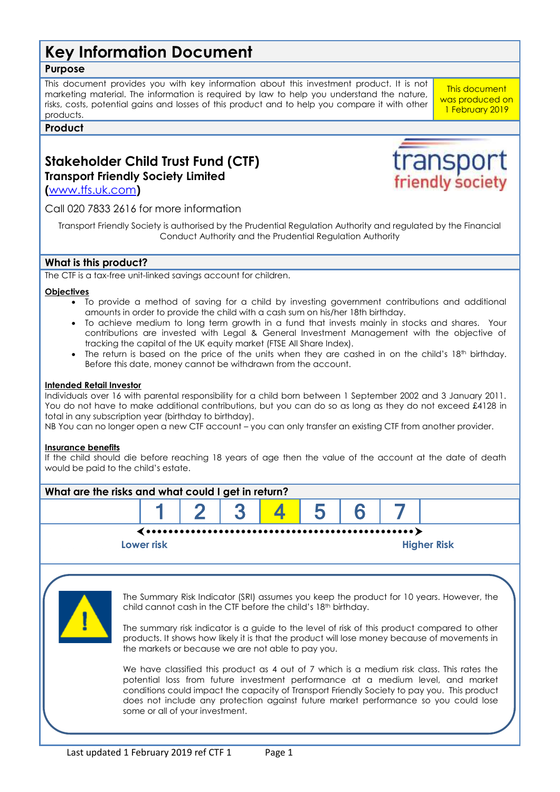# **Key Information Document**

# **Purpose**

This document provides you with key information about this investment product. It is not marketing material. The information is required by law to help you understand the nature, risks, costs, potential gains and losses of this product and to help you compare it with other products.

## **Product**

# **Stakeholder Child Trust Fund (CTF) Transport Friendly Society Limited**

**(**[www.tfs.uk.com](http://www.tfs.uk.com/)**)**

Call 020 7833 2616 for more information

Transport Friendly Society is authorised by the Prudential Regulation Authority and regulated by the Financial Conduct Authority and the Prudential Regulation Authority

# **What is this product?**

The CTF is a tax-free unit-linked savings account for children.

### **Objectives**

- To provide a method of saving for a child by investing government contributions and additional amounts in order to provide the child with a cash sum on his/her 18th birthday.
- To achieve medium to long term growth in a fund that invests mainly in stocks and shares. Your contributions are invested with Legal & General Investment Management with the objective of tracking the capital of the UK equity market (FTSE All Share Index).
- The return is based on the price of the units when they are cashed in on the child's 18<sup>th</sup> birthday. Before this date, money cannot be withdrawn from the account.

### **Intended Retail Investor**

Individuals over 16 with parental responsibility for a child born between 1 September 2002 and 3 January 2011. You do not have to make additional contributions, but you can do so as long as they do not exceed £4128 in total in any subscription year (birthday to birthday).

NB You can no longer open a new CTF account – you can only transfer an existing CTF from another provider.

#### **Insurance benefits**

If the child should die before reaching 18 years of age then the value of the account at the date of death would be paid to the child's estate.



1 February 2019

transpor

friendly society

This document was produced on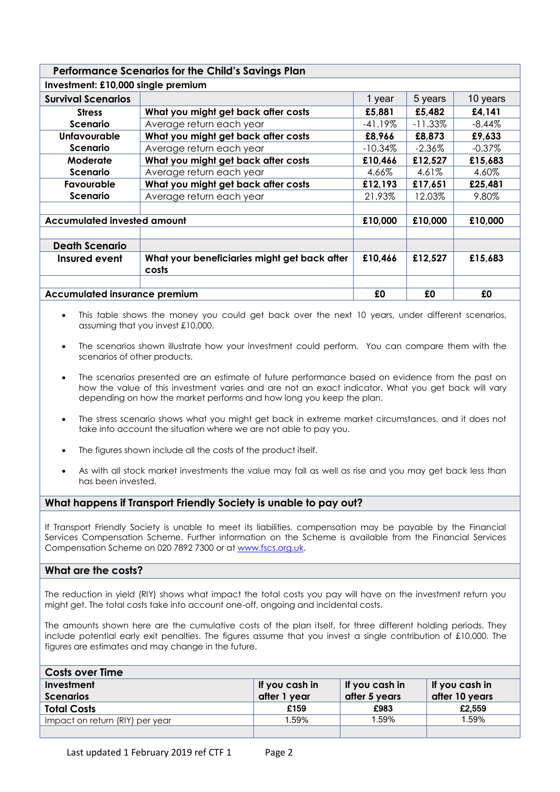# **Performance Scenarios for the Child's Savings Plan**

| Investment: £10,000 single premium   |                                                       |            |            |           |  |
|--------------------------------------|-------------------------------------------------------|------------|------------|-----------|--|
| <b>Survival Scenarios</b>            |                                                       | 1 year     | 5 years    | 10 years  |  |
| <b>Stress</b>                        | What you might get back after costs                   | £5,881     | £5,482     | £4,141    |  |
| Scenario                             | Average return each year                              | $-41.19%$  | $-11.33\%$ | $-8.44%$  |  |
| <b>Unfavourable</b>                  | What you might get back after costs                   | £8,966     | £8,873     | £9,633    |  |
| Scenario                             | Average return each year                              | $-10.34\%$ | $-2.36\%$  | $-0.37\%$ |  |
| Moderate                             | What you might get back after costs                   | £10,466    | £12,527    | £15,683   |  |
| Scenario                             | Average return each year                              | 4.66%      | 4.61%      | 4.60%     |  |
| Favourable                           | What you might get back after costs                   | £12,193    | £17,651    | £25,481   |  |
| Scenario                             | Average return each year                              | 21.93%     | 12.03%     | 9.80%     |  |
|                                      |                                                       |            |            |           |  |
| <b>Accumulated invested amount</b>   |                                                       | £10,000    | £10,000    | £10,000   |  |
|                                      |                                                       |            |            |           |  |
| <b>Death Scenario</b>                |                                                       |            |            |           |  |
| Insured event                        | What your beneficiaries might get back after<br>costs | £10,466    | £12,527    | £15,683   |  |
|                                      |                                                       |            |            |           |  |
| <b>Accumulated insurance premium</b> |                                                       | £0         | £0         | £0        |  |

- This table shows the money you could get back over the next 10 years, under different scenarios, assuming that you invest £10,000.
- The scenarios shown illustrate how your investment could perform. You can compare them with the scenarios of other products.
- The scenarios presented are an estimate of future performance based on evidence from the past on how the value of this investment varies and are not an exact indicator. What you get back will vary depending on how the market performs and how long you keep the plan.
- The stress scenario shows what you might get back in extreme market circumstances, and it does not take into account the situation where we are not able to pay you.
- The figures shown include all the costs of the product itself.
- As with all stock market investments the value may fall as well as rise and you may get back less than has been invested.

### **What happens if Transport Friendly Society is unable to pay out?**

If Transport Friendly Society is unable to meet its liabilities, compensation may be payable by the Financial Services Compensation Scheme. Further information on the Scheme is available from the Financial Services Compensation Scheme on 020 7892 7300 or a[t www.fscs.org.uk.](http://www.fscs.org.uk/)

### **What are the costs?**

The reduction in yield (RIY) shows what impact the total costs you pay will have on the investment return you might get. The total costs take into account one-off, ongoing and incidental costs.

The amounts shown here are the cumulative costs of the plan itself, for three different holding periods. They include potential early exit penalties. The figures assume that you invest a single contribution of £10,000. The figures are estimates and may change in the future.

| <b>Costs over Time</b>          |                |                |                |
|---------------------------------|----------------|----------------|----------------|
| Investment                      | If you cash in | If you cash in | If you cash in |
| <b>Scenarios</b>                | after 1 year   | after 5 years  | after 10 years |
| <b>Total Costs</b>              | £159           | £983           | £2,559         |
| Impact on return (RIY) per year | 1.59%          | 1.59%          | 1.59%          |
|                                 |                |                |                |